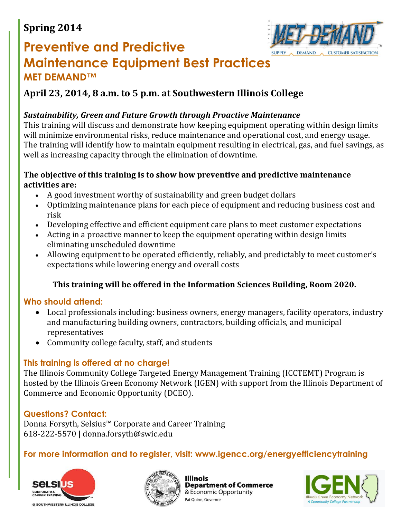## **Spring 2014**



# **Preventive and Predictive Maintenance Equipment Best Practices MET DEMAND™**

## **April 23, 2014, 8 a.m. to 5 p.m. at Southwestern Illinois College**

#### *Sustainability, Green and Future Growth through Proactive Maintenance*

This training will discuss and demonstrate how keeping equipment operating within design limits will minimize environmental risks, reduce maintenance and operational cost, and energy usage. The training will identify how to maintain equipment resulting in electrical, gas, and fuel savings, as well as increasing capacity through the elimination of downtime.

#### **The objective of this training is to show how preventive and predictive maintenance activities are:**

- A good investment worthy of sustainability and green budget dollars
- Optimizing maintenance plans for each piece of equipment and reducing business cost and risk
- Developing effective and efficient equipment care plans to meet customer expectations
- Acting in a proactive manner to keep the equipment operating within design limits eliminating unscheduled downtime
- Allowing equipment to be operated efficiently, reliably, and predictably to meet customer's expectations while lowering energy and overall costs

#### **This training will be offered in the Information Sciences Building, Room 2020.**

#### **Who should attend:**

- Local professionals including: business owners, energy managers, facility operators, industry and manufacturing building owners, contractors, building officials, and municipal representatives
- Community college faculty, staff, and students

#### **This training is offered at no charge!**

The Illinois Community College Targeted Energy Management Training (ICCTEMT) Program is hosted by the Illinois Green Economy Network (IGEN) with support from the Illinois Department of Commerce and Economic Opportunity (DCEO).

#### **Questions? Contact:**

Donna Forsyth, Selsius™ Corporate and Career Training 618-222-5570 | donna.forsyth@swic.edu

#### **For more information and to register, visit: www.igencc.org/energyefficiencytraining**





**Department of Commerce** & Economic Opportunity Pat Ouinn, Governor